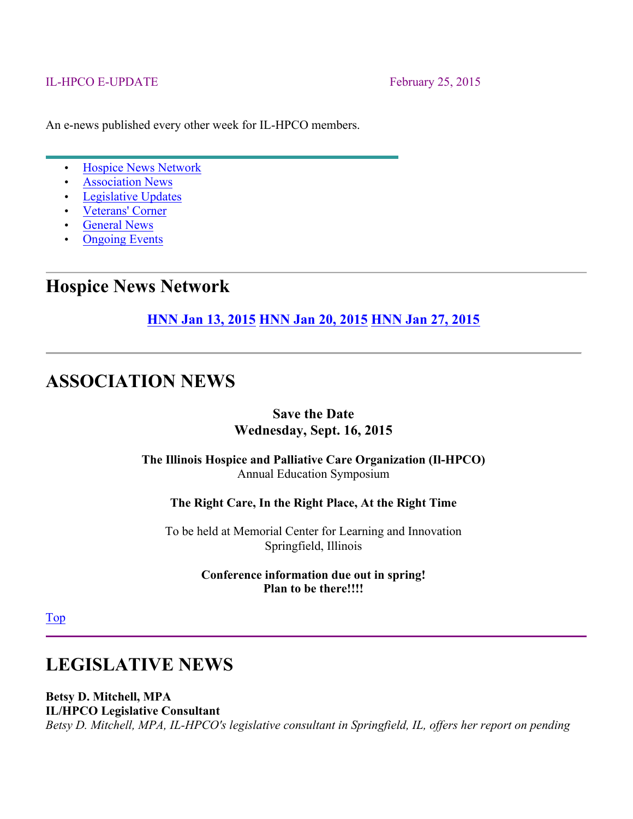#### IL-HPCO E-UPDATE February 25, 2015

An e-news published every other week for IL-HPCO members.

- Hospice News Network
- Association News
- Legislative Updates
- Veterans' Corner
- General News
- Ongoing Events

### **Hospice News Network**

**HNN Jan 13, 2015 HNN Jan 20, 2015 HNN Jan 27, 2015**

### **ASSOCIATION NEWS**

#### **Save the Date Wednesday, Sept. 16, 2015**

#### **The Illinois Hospice and Palliative Care Organization (Il-HPCO)** Annual Education Symposium

**The Right Care, In the Right Place, At the Right Time**

To be held at Memorial Center for Learning and Innovation Springfield, Illinois

> **Conference information due out in spring! Plan to be there!!!!**

Top

### **LEGISLATIVE NEWS**

**Betsy D. Mitchell, MPA IL/HPCO Legislative Consultant**

*Betsy D. Mitchell, MPA, IL-HPCO's legislative consultant in Springfield, IL, offers her report on pending*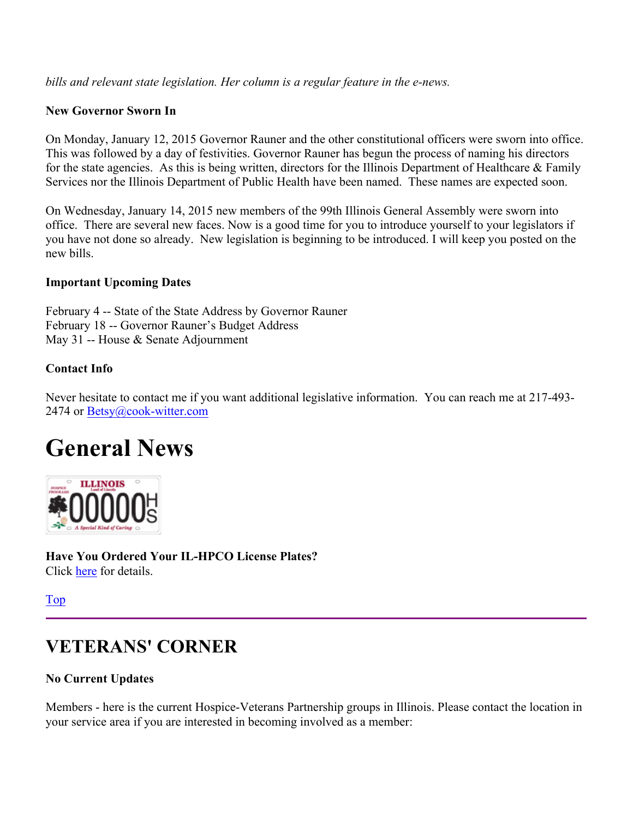*bills and relevant state legislation. Her column is a regular feature in the e-news.*

#### **New Governor Sworn In**

On Monday, January 12, 2015 Governor Rauner and the other constitutional officers were sworn into office. This was followed by a day of festivities. Governor Rauner has begun the process of naming his directors for the state agencies. As this is being written, directors for the Illinois Department of Healthcare  $\&$  Family Services nor the Illinois Department of Public Health have been named. These names are expected soon.

On Wednesday, January 14, 2015 new members of the 99th Illinois General Assembly were sworn into office. There are several new faces. Now is a good time for you to introduce yourself to your legislators if you have not done so already. New legislation is beginning to be introduced. I will keep you posted on the new bills.

#### **Important Upcoming Dates**

February 4 -- State of the State Address by Governor Rauner February 18 -- Governor Rauner's Budget Address May 31 -- House & Senate Adjournment

#### **Contact Info**

Never hesitate to contact me if you want additional legislative information. You can reach me at 217-493- 2474 or Betsy@cook-witter.com

# **General News**



**Have You Ordered Your IL-HPCO License Plates?** Click here for details.

Top

# **VETERANS' CORNER**

#### **No Current Updates**

Members - here is the current Hospice-Veterans Partnership groups in Illinois. Please contact the location in your service area if you are interested in becoming involved as a member: